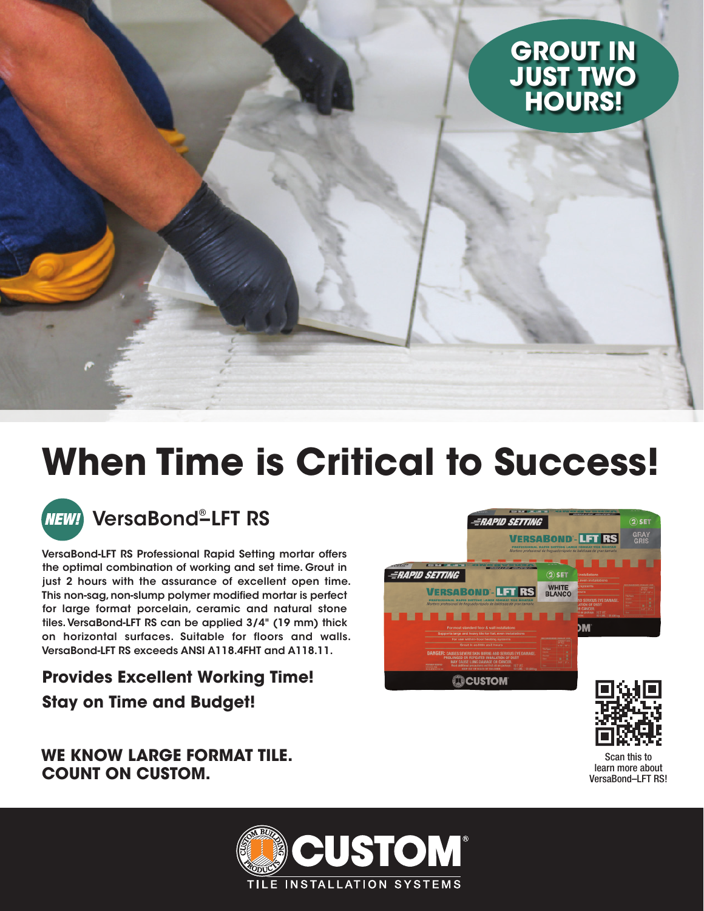# **GROUT IN JUST TWO HOURS!**

# **When Time is Critical to Success!**



### VersaBond® –LFT RS

VersaBond-LFT RS Professional Rapid Setting mortar offers the optimal combination of working and set time. Grout in just 2 hours with the assurance of excellent open time. This non-sag, non-slump polymer modified mortar is perfect for large format porcelain, ceramic and natural stone tiles. VersaBond-LFT RS can be applied 3/4" (19 mm) thick on horizontal surfaces. Suitable for floors and walls. VersaBond-LFT RS exceeds ANSI A118.4FHT and A118.11.

### **Provides Excellent Working Time! Stay on Time and Budget!**

### **WE KNOW LARGE FORMAT TILE. COUNT ON CUSTOM.**





Scan this to learn more about VersaBond–LFT RS!